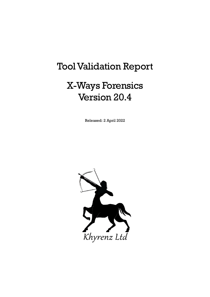# Tool Validation Report

# X-Ways Forensics Version 20.4

Released: 2 April 2022

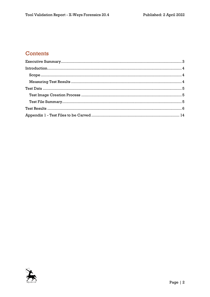# Contents

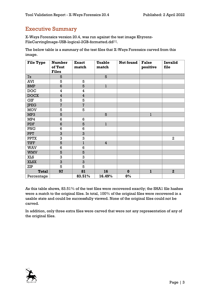### <span id="page-2-0"></span>Executive Summary

X-Ways Forensics version 20.4, was run against the test image Khyrenz-FileCarvingImage-USB-logical-2GB-formatted.dd[1] .

The below table is a summary of the test files that X-Ways Forensics carved from this image.

| <b>File Type</b> | <b>Number</b><br>of Test | <b>Exact</b><br>match | <b>Usable</b><br>match | Not found | <b>False</b><br>positive | Invalid<br>file |
|------------------|--------------------------|-----------------------|------------------------|-----------|--------------------------|-----------------|
|                  | <b>Files</b>             |                       |                        |           |                          |                 |
| 7z               | 5                        |                       | 5                      |           |                          |                 |
| AVI              | 5                        | 5                     |                        |           |                          |                 |
| <b>BMP</b>       | 6                        | 5                     | $\mathbf{1}$           |           |                          |                 |
| <b>DOC</b>       | 4                        | 4                     |                        |           |                          |                 |
| <b>DOCX</b>      | $\overline{\mathbf{4}}$  | $\overline{4}$        |                        |           |                          |                 |
| GIF              | 5                        | 5                     |                        |           |                          |                 |
| <b>JPEG</b>      | $\overline{7}$           | $\overline{7}$        |                        |           |                          |                 |
| <b>MOV</b>       | 5                        | 5                     |                        |           |                          |                 |
| MP3              | 5                        |                       | 5                      |           | $\mathbf{1}$             |                 |
| MP4              | 6                        | $\,6$                 |                        |           |                          |                 |
| <b>PDF</b>       | $6\phantom{1}$           | 5                     | $\mathbf{1}$           |           |                          |                 |
| PNG              | 6                        | $6\phantom{1}6$       |                        |           |                          |                 |
| PPT              | 3                        | 3                     |                        |           |                          |                 |
| <b>PPTX</b>      | 3                        | 3                     |                        |           |                          | $\overline{2}$  |
| <b>TIFF</b>      | 5                        | $\mathbf 1$           | $\overline{4}$         |           |                          |                 |
| <b>WAV</b>       | 6                        | $6\phantom{1}6$       |                        |           |                          |                 |
| <b>WMV</b>       | 5                        | 5                     |                        |           |                          |                 |
| <b>XLS</b>       | 3                        | 3                     |                        |           |                          |                 |
| <b>XLSX</b>      | 3                        | 3                     |                        |           |                          |                 |
| ZIP              | 5                        | 5                     |                        |           |                          |                 |
| <b>Total</b>     | 97                       | 81                    | 16                     | $\bf{0}$  | $\mathbf{1}$             | $\mathbf{2}$    |
| Percentage       |                          | 83.51%                | 16.49%                 | $0\%$     |                          |                 |

As this table shows, 83.51% of the test files were recovered exactly; the SHA1 file hashes were a match to the original files. In total, 100% of the original files were recovered in a usable state and could be successfully viewed. None of the original files could not be carved.

In addition, only three extra files were carved that were not any representation of any of the original files.

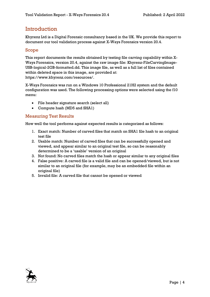### <span id="page-3-0"></span>Introduction

Khyrenz Ltd is a Digital Forensic consultancy based in the UK. We provide this report to document our tool validation process against X-Ways Forensics version 20.4.

#### <span id="page-3-1"></span>Scope

This report documents the results obtained by testing file carving capability within X-Ways Forensics, version 20.4, against the raw image file: Khyrenz-FileCarvingImage-USB-logical-2GB-formatted.dd. This image file, as well as a full list of files contained within deleted space in this image, are provided at: https://www.khyrenz.com/resources/.

X-Ways Forensics was run on a Windows 10 Professional 21H2 system and the default configuration was used. The following processing options were selected using the f10 menu:

- File header signature search (select all)
- Compute hash (MD5 and SHA1)

#### <span id="page-3-2"></span>Measuring Test Results

How well the tool performs against expected results is categorized as follows:

- 1. Exact match: Number of carved files that match on SHA1 file hash to an original test file
- 2. Usable match: Number of carved files that can be successfully opened and viewed, and appear similar to an original test file, so can be reasonably determined to be a 'usable' version of an original
- 3. Not found: No carved files match the hash or appear similar to any original files
- 4. False positive: A carved file is a valid file and can be opened/viewed, but is not similar to an original file (for example, may be an embedded file within an original file)
- 5. Invalid file: A carved file that cannot be opened or viewed

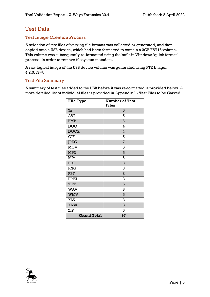## <span id="page-4-0"></span>Test Data

#### <span id="page-4-1"></span>Test Image Creation Process

A selection of test files of varying file formats was collected or generated, and then copied onto a USB device, which had been formatted to contain a 2GB FAT16 volume. This volume was subsequently re-formatted using the built-in Windows 'quick format' process, in order to remove filesystem metadata.

A raw logical image of the USB device volume was generated using FTK Imager 4.2.0.13[2] .

#### <span id="page-4-2"></span>Test File Summary

A summary of test files added to the USB before it was re-formatted is provided below. A more detailed list of individual files is provided in Appendix 1 - [Test Files to be Carved.](#page-13-0)

| <b>File Type</b>   | <b>Number of Test</b><br><b>Files</b> |
|--------------------|---------------------------------------|
| 7z                 | 5                                     |
| <b>AVI</b>         | 5                                     |
| <b>BMP</b>         | 6                                     |
| <b>DOC</b>         | 4                                     |
| <b>DOCX</b>        | 4                                     |
| <b>GIF</b>         | 5                                     |
| <b>JPEG</b>        | $\overline{7}$                        |
| <b>MOV</b>         | 5                                     |
| MP3                | 5                                     |
| MP4                | 6                                     |
| PDF                | 6                                     |
| PNG                | 6                                     |
| <b>PPT</b>         | 3                                     |
| <b>PPTX</b>        | 3                                     |
| <b>TIFF</b>        | 5                                     |
| <b>WAV</b>         | 6                                     |
| <b>WMV</b>         | 5                                     |
| <b>XLS</b>         | 3                                     |
| <b>XLSX</b>        | 3                                     |
| ZIP                | 5                                     |
| <b>Grand Total</b> | 97                                    |

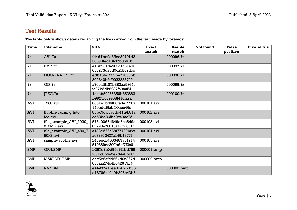## Test Results

The table below shows details regarding the files carved from the test image by foremost.

<span id="page-5-0"></span>

| Type       | <b>Filename</b>                       | <b>SHA1</b>                                  | <b>Exact</b><br>match | <b>Usable</b><br>match | Not found | <b>False</b><br>positive | <b>Invalid file</b> |
|------------|---------------------------------------|----------------------------------------------|-----------------------|------------------------|-----------|--------------------------|---------------------|
| 7z         | $AVI-7z$                              | fd4dlbe9e8ffec39701d3<br>58898fed10437b0561b |                       | 000096.7z              |           |                          |                     |
| 7z         | BMP.7z                                | el3b931da505clc5led6<br>653273de8d9d2df67dcc |                       | 000097.7z              |           |                          |                     |
| 7z         | DOC-XLS-PPT.7z                        | edb13fe1559ba71696bb<br>309840bfcf0022228799 |                       | 000098.7z              |           |                          |                     |
| 7z         | CIF.7z                                | a70caf5187b383aa5364c<br>fc97b5db8287fa3aa54 |                       | 000099.7z              |           |                          |                     |
| 7z         | PEG.7z                                | 4cceb50966356b852883<br>b9925fcc9e58f410fa2a |                       | 000100.7z              |           |                          |                     |
| <b>AVI</b> | 1280.avi                              | 8351e1bd6f08fe3419907<br>140edd6fcbf00acc46e | 000101.avi            |                        |           |                          |                     |
| <b>AVI</b> | <b>Bubble Turning Into</b><br>Ice.avi | 85bc9cafcacdd41f9b81a<br>ce58bd33fba0c432c7d | 000102.avi            |                        |           |                          |                     |
| <b>AVI</b> | file_example_AVI_1920_<br>2_3MG.avi   | 573400d5d649e6ce8d9c<br>02723e70618a17cd631f | 000103.avi            |                        |           |                          |                     |
| <b>AVI</b> | file_example_AVI_480_7<br>50kB.avi    | a188ed66e68f77729b8cf<br>ac92913427ab6b1677f | 000104.avi            |                        |           |                          |                     |
| <b>AVI</b> | sample-avi-file.avi                   | 246eecb4053487a61914<br>510389ec300bdaf7f3c6 | 000105.avi            |                        |           |                          |                     |
| <b>BMP</b> | <b>GRN.BMP</b>                        | b367e7e0d95e6f1bd769<br>f39bc0b5e2e7d4a6bb62 | 000001.bmp            |                        |           |                          |                     |
| <b>BMP</b> | <b>MARBLES.BMP</b>                    | eec5e6afdd264d6ff867d<br>038aa274c4bc42619b4 | 000002.bmp            |                        |           |                          |                     |
| <b>BMP</b> | <b>RAY.BMP</b>                        | e44237allee0d4blcb63<br>e1876dc4040b805e43b6 |                       | 000003.bmp             |           |                          |                     |

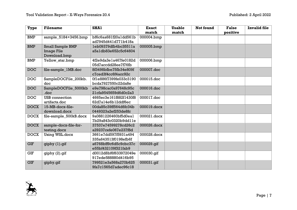| <b>Type</b> | <b>Filename</b>         | <b>SHA1</b>            | <b>Exact</b> | <b>Usable</b> | Not found | <b>False</b> | <b>Invalid file</b> |
|-------------|-------------------------|------------------------|--------------|---------------|-----------|--------------|---------------------|
|             |                         |                        | match        | match         |           | positive     |                     |
| <b>BMP</b>  | sample_5184×3456.bmp    | bf6c6aa681f20aldd561b  | 000004.bmp   |               |           |              |                     |
|             |                         | ad7945d441d771b418a    |              |               |           |              |                     |
| <b>BMP</b>  | <b>Small Sample BMP</b> | leb09379dfb4bc35511a   | 000005.bmp   |               |           |              |                     |
|             | Image File              | a5a1db83e652c5c64604   |              |               |           |              |                     |
|             | Download.bmp            |                        |              |               |           |              |                     |
| BMP         | Yellow_star.bmp         | 4f2e9da3e1a467fe0182d  | 000006.bmp   |               |           |              |                     |
|             |                         | 05d7accdd28ee7f76fb    |              |               |           |              |                     |
| <b>DOC</b>  | file-sample_1MB.doc     | 8f3498bfbe75fb34e809f  | 000007.doc   |               |           |              |                     |
|             |                         | c7ced3f4cc6f4acc92c    |              |               |           |              |                     |
| <b>DOC</b>  | SampleDOCFile_200kb.    | 0f1e886f7399fe033c3190 | 000015.doc   |               |           |              |                     |
|             | doc                     | bcda7927550c22da8e     |              |               |           |              |                     |
| <b>DOC</b>  | SampleDOCFile_5000kb    | e9e798cac0a97648c95c   | 000016.doc   |               |           |              |                     |
|             | .doc                    | 21cfa9545659d6d0c2a3   |              |               |           |              |                     |
| <b>DOC</b>  | <b>USB</b> connection   | 4665ec3e161f882f1430f8 | 000017.doc   |               |           |              |                     |
|             | artifacts.doc           | 62d7a14e6b12ddf6ec     |              |               |           |              |                     |
| <b>DOCX</b> | 15-MB-docx-file-        | 00da85c39ff564d6fc34b  | 000019.docx  |               |           |              |                     |
|             | download.docx           | 0449323a2ef253de8fc    |              |               |           |              |                     |
| <b>DOCX</b> | file-sample_500kB.docx  | 9a0881226460bf5d0eal   | 000021.docx  |               |           |              |                     |
|             |                         | 7b29a843c0320b9ddlle   |              |               |           |              |                     |
| <b>DOCX</b> | sample-docx-file-for-   | 37537e74599278cd26c2   | 000026.docx  |               |           |              |                     |
|             | testing.docx            | a29237cefe067e237f8d   |              |               |           |              |                     |
| <b>DOCX</b> | Using WSL.docx          | 3661e7dd597f5931a494   | 000028.docx  |               |           |              |                     |
|             |                         | 335a643513f0198efb6f   |              |               |           |              |                     |
| <b>GIF</b>  | giphy (1).gif           | a6768bff9c6d5c9cbc37c  | 000029.gif   |               |           |              |                     |
|             |                         | e55bf432109f321fab9    |              |               |           |              |                     |
| <b>GIF</b>  | giphy (2).gif           | d0012d8bf6f633972049e  | 000030.gif   |               |           |              |                     |
|             |                         | 917ede588880d416b95    |              |               |           |              |                     |
| <b>GIF</b>  | giphy.gif               | 799521e3a568a270b625   | 000031.gif   |               |           |              |                     |
|             |                         | 9fa7c1565d7adec96c18   |              |               |           |              |                     |

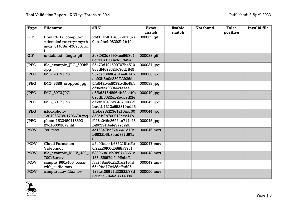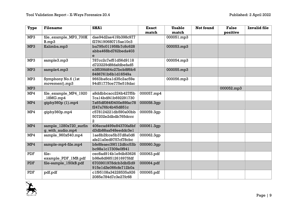| <b>Type</b>     | <b>Filename</b>        | <b>SHA1</b>            | <b>Exact</b> | <b>Usable</b> | Not found | <b>False</b> | <b>Invalid file</b> |
|-----------------|------------------------|------------------------|--------------|---------------|-----------|--------------|---------------------|
|                 |                        |                        | match        | match         |           | positive     |                     |
| MP <sub>3</sub> | file example MP3 700K  | dae94d2ae419b398c977   |              | 000051mp3     |           |              |                     |
|                 | Bmp3                   | f27f4190680715ae10c3   |              |               |           |              |                     |
| MP <sub>3</sub> | Kalimba.mp3            | ba795c011958b7c8c628   |              | 000053.mp3    |           |              |                     |
|                 |                        | abba468bd762beda403    |              |               |           |              |                     |
|                 |                        | e                      |              |               |           |              |                     |
| MP3             | sample3.mp3            | 787cc2c7ef51d56d9118   |              | 000054.mp3    |           |              |                     |
|                 |                        | d723229d8fdafdbefad5   |              |               |           |              |                     |
| MP <sub>3</sub> | sample4.mp3            | e3f539fd64c27bcb8f6fc6 |              | 000055.mp3    |           |              |                     |
|                 |                        | 8486761b6b1d16549a     |              |               |           |              |                     |
| MP3             | Symphony No.6 (1st     | 9663ba6cald35c2ac59e   |              | 000056.mp3    |           |              |                     |
|                 | movement).mp3          | 94d51775ce775e518dac   |              |               |           |              |                     |
| MP <sub>3</sub> |                        |                        |              |               |           | 000052.mp3   |                     |
| MP4             | file_example_MP4_1920  | a8ddbbcacc224b427f5b   | 000057.mp4   |               |           |              |                     |
|                 | 18MGmp4                | 7cal4bdf4lb692291730   |              |               |           |              |                     |
| MP4             | qiphy360p(1).mp4       | 7a65df084f0400e89fac78 | 000058.3qp   |               |           |              |                     |
|                 |                        | f247a76fc4b45d851c     |              |               |           |              |                     |
| MP4             | qiphy360p.mp4          | c578124221db590a00bb   | 000059.3qp   |               |           |              |                     |
|                 |                        | 507202e2dbdb765dccc    |              |               |           |              |                     |
|                 |                        | $\overline{a}$         |              |               |           |              |                     |
| MP4             | sample_1280x720_surfin | 406ecad499e84370fa8bf  | 000061.3qp   |               |           |              |                     |
|                 | q_with_audio.mp4       | d3db88aa548eeddc3el    |              |               |           |              |                     |
| MP4             | sample 960x540.mp4     | lae8b2fcce5b37d8a0d6   | 000062.3qp   |               |           |              |                     |
|                 |                        | afe21a0ed9757cf78cbc   |              |               |           |              |                     |
| MP4             | sample-mp4-file.mp4    | bfe8feaec39f112dfcc53b | 000060.3qp   |               |           |              |                     |
|                 |                        | bc98alc17309e0f941     |              |               |           |              |                     |
| PDF             | file-                  | cec8ad914ble9db83626   | 000063.pdf   |               |           |              |                     |
|                 | example_PDF_1MB.pdf    | b98e8d98512616975fdf   |              |               |           |              |                     |
| <b>PDF</b>      | file-sample_150kB.pdf  | 6703901978dcb3dbf2d9   | 000064.pdf   |               |           |              |                     |
|                 |                        | 915e1d3e066cfe712b0a   |              |               |           |              |                     |
| <b>PDF</b>      | pdf.pdf                | c1f95108a34228535a926  | 000065.pdf   |               |           |              |                     |
|                 |                        | 2085e784d7c3e27fc68    |              |               |           |              |                     |

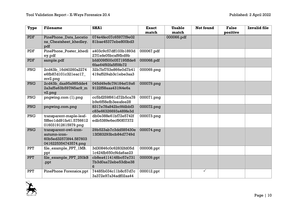| <b>Type</b> | <b>Filename</b>                                                                        | SHA1                                             | <b>Exact</b> | <b>Usable</b> | <b>Not found</b> | <b>False</b> | <b>Invalid file</b> |
|-------------|----------------------------------------------------------------------------------------|--------------------------------------------------|--------------|---------------|------------------|--------------|---------------------|
|             |                                                                                        |                                                  | match        | match         |                  | positive     |                     |
| <b>PDF</b>  | PinePhone_Data_Locatio<br>ns_Cheatsheet_khedley.<br>pdf                                | 074e4fec07c65977f9e02<br>81bae45377ebe800bd3     |              | 000066.pdf    |                  |              |                     |
| PDF         | PinePhone_Poster_khedl<br>ey.pdf                                                       | a403c9c57dff103b1893d<br>27f1efe05bcaf9fbd9b     | 000067.pdf   |               |                  |              |                     |
| <b>PDF</b>  | sample.pdf                                                                             | bfd009f500c057195ffde6<br>6fae64f92fa5f59b72     | 000068.pdf   |               |                  |              |                     |
| PNG         | 2cd43b_16d40260a2274<br>e6fb87d101c321eac17<br>mv2.pnq                                 | 32b7bf753e866e0d7b41<br>419af529ab3clebe3aa3     | 000069.png   |               |                  |              |                     |
| <b>PNG</b>  | 2cd43b_daa95a985dde4<br>2a3af5a63b597f45ac9_m<br>v <sub>2.pnq</sub>                    | 045d49e8c7f4184ef19a6<br>9122f58aaa431f44e6a     | 000079.png   |               |                  |              |                     |
| <b>PNG</b>  | pngwing.com (1).png                                                                    | cc5bf259f661d72b5ca78<br>b9e6f58efb3eeafee28     | 000071.png   |               |                  |              |                     |
| PNG         | pngwing.com.png                                                                        | 8317e78a842bc9fdbbf3<br>c83e66326693a489fe3d     | 000072.png   |               |                  |              |                     |
| <b>PNG</b>  | transparent-maple-leaf-<br>5f8ec1dd91fa41.5756612<br>016031912615979.pnq               | db0e388e61bf72e5742f<br>edb5389e6ecf90f07372     | 000073.png   |               |                  |              |                     |
| PNG         | transparent-owl-icon-<br>autumn-icon-<br>60b5ed32573f44.587603<br>0416225354743574.png | 29b523ab7c3dd585430e<br>13f383293bcb84d7749d     | 000074.png   |               |                  |              |                     |
| <b>PPT</b>  | file_example_PPT_1MB.<br>ppt                                                           | 3d30846c0c62832fd05d<br>lc424fb650cf4da6ae23     | 000008.ppt   |               |                  |              |                     |
| <b>PPT</b>  | file_example_PPT_250kB<br>.ppt                                                         | cb8ea4114148bc57e731<br>7b3d0aa72ebe53dbe38<br>6 | 000009.ppt   |               |                  |              |                     |
| <b>PPT</b>  | PinePhone Forensics.ppt                                                                | 74485b034cllb8c57d7c<br>3a372e97a34adf02aa44     | 000012.ppt   |               | ✓                |              |                     |

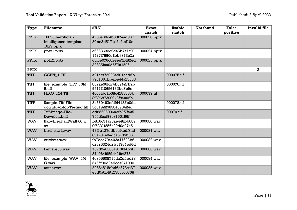| <b>Type</b> | <b>Filename</b>           | <b>SHA1</b>           | <b>Exact</b> | <b>Usable</b> | <b>Not found</b> | <b>False</b> | <b>Invalid file</b> |
|-------------|---------------------------|-----------------------|--------------|---------------|------------------|--------------|---------------------|
|             |                           |                       | match        | match         |                  | positive     |                     |
| <b>PPTX</b> | 160930-artificial-        | 4203a60c4b88f7aad967  | 000020.pptx  |               |                  |              |                     |
|             | intelligence-template-    | 20be8d5171e2afacf10e  |              |               |                  |              |                     |
|             | 16x9.pptx                 |                       |              |               |                  |              |                     |
| <b>PPTX</b> | pptxl.pptx                | c666363ec2d45b7alc91  | 000024.pptx  |               |                  |              |                     |
|             |                           | 1427f7690c1bb6313c2a  |              |               |                  |              |                     |
| <b>PPTX</b> | pptx2.pptx                | c3f3e076c62eee7bf82ed | 000025.pptx  |               |                  |              |                     |
|             |                           | 32325faa0d5f79f1596   |              |               |                  |              |                     |
| <b>PPTX</b> |                           |                       |              |               |                  |              | $\overline{a}$      |
| <b>TIFF</b> | CCITT 1.TIF               | a2leef750984d9laaddb  |              | 000075.tif    |                  |              |                     |
|             |                           | a931361bbebe44a23568  |              |               |                  |              |                     |
| <b>TIFF</b> | file_example_TIFF_10M     | 837ae56fd74b69427b7b  |              | 000076.tif    |                  |              |                     |
|             | <b>B.tiff</b>             | 9511f1065616ffbc3b9e  |              |               |                  |              |                     |
| <b>TIFF</b> | FLAG T24.TIF              | 4c06fdc1b38c4283835b  | 000077.tif   |               |                  |              |                     |
|             |                           | 8f89687390042f84a92b  |              |               |                  |              |                     |
| <b>TIFF</b> | Sample-Tiff-File-         | 3c560462efd9f4182b0da |              | 000078.tif    |                  |              |                     |
|             | download-for-Testing.tiff | 5c3192258384390424c   |              |               |                  |              |                     |
| <b>TIFF</b> | Tiff-Image-File-          | dd85696006a32f8f7fa25 |              | 00079.tif     |                  |              |                     |
|             | Download.tiff             | 755f8cef99c8150196f   |              |               |                  |              |                     |
| <b>WAV</b>  | BabyElephantWalk60.w      | b816c31a23ae448bb089  | 000080.wav   |               |                  |              |                     |
|             | av                        | 0f5221f256a90d0e9745  |              |               |                  |              |                     |
| <b>WAV</b>  | bird caw2.wav             | 49f1e127edbcef4adf8ad | 000081.wav   |               |                  |              |                     |
|             |                           | 89a297a8adca5735b63   |              |               |                  |              |                     |
| <b>WAV</b>  | crickets.wav              | fb7ece704403a47692b6  | 000082.wav   |               |                  |              |                     |
|             |                           | c2625324d2b11764ed6d  |              |               |                  |              |                     |
| <b>WAV</b>  | Fanfare60.wav             | 762d3a658519190f4b5f1 | 000083.wav   |               |                  |              |                     |
|             |                           | 374964f959d419cf875   |              |               |                  |              |                     |
| <b>WAV</b>  | file_example_WAV_5M       | 40955508715da2d5bd78  | 000084.wav   |               |                  |              |                     |
|             | G.way                     | 546fc8ed9edcca07100e  |              |               |                  |              |                     |
| <b>WAV</b>  | taunt.wav                 | 2988a818ebd6a373ca37  | 000085.wav   |               |                  |              |                     |
|             |                           | ecd0a0bf9123880c5758  |              |               |                  |              |                     |

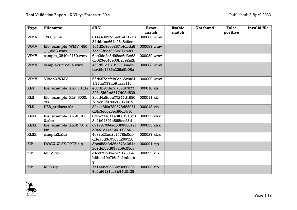| <b>Type</b> | <b>Filename</b>         | <b>SHA1</b>            | <b>Exact</b> | <b>Usable</b> | Not found | <b>False</b> | <b>Invalid file</b> |
|-------------|-------------------------|------------------------|--------------|---------------|-----------|--------------|---------------------|
|             |                         |                        | match        | match         |           | positive     |                     |
| <b>WMV</b>  | 1280.wmv                | 814a49657d5e01a0f1716  | 000086.wmv   |               |           |              |                     |
|             |                         | 34ddebc664c98a8a6ec    |              |               |           |              |                     |
| <b>WMV</b>  | file_example_WMV_480    | lc4d2e7cce26714dcda8   | 000087.wmv   |               |           |              |                     |
|             | 1 2MB.wmv               | 7cc52fbca695b377b389   |              |               |           |              |                     |
| <b>WMV</b>  | sample_3840x2160.wmv    | 6ee26e2c8d98aa6d3e62   | 000089.wmv   |               |           |              |                     |
|             |                         | dc323ec48e03ba392a2b   |              |               |           |              |                     |
| <b>WMV</b>  | sample-wmv-file.wmv     | a59d51d161b52196aeb    | 000088.wmv   |               |           |              |                     |
|             |                         | de4f9c1585c206a9b08a   |              |               |           |              |                     |
|             |                         | 3                      |              |               |           |              |                     |
| <b>WMV</b>  | Video2.WMV              | 66d457ecfcb8ee65c9f84  | 000090.wmv   |               |           |              |                     |
|             |                         | lf77ae737ab9laaallc    |              |               |           |              |                     |
| <b>XLS</b>  | file_example_XLS_10.xls | e0cdb9c8a7da39f97877   | 000010.xls   |               |           |              |                     |
|             |                         | 29345fd9bd617d02d539   |              |               |           |              |                     |
| <b>XLS</b>  | file_example_XLS_5000.  | 3a0d4a8ecb77244d1580   | 000011.xls   |               |           |              |                     |
|             | xls                     | b15cb9f0766c8317b073   |              |               |           |              |                     |
| <b>XLS</b>  | USB artifacts.xls       | 39a4a8f0a789578d55951  | 000018.xls   |               |           |              |                     |
|             |                         | d3fc3e00a5ec86d6b16    |              |               |           |              |                     |
| <b>XLSX</b> | file_example_XLSX_100   | 0dce77a811e9f631913c8  | 000022.xlsx  |               |           |              |                     |
|             | $0.x$ lsx               | 8elb0439la868fcc93d    |              |               |           |              |                     |
| <b>XLSX</b> | file_example_XLSX_50.x  | c94997094ad00f9f38017f | 000023.xlsx  |               |           |              |                     |
|             | <b>lsx</b>              | d94ald44al241003b6     |              |               |           |              |                     |
| <b>XLSX</b> | sample3.xlsx            | 4c82c22ee2a7478fc0d0   | 000027.xlsx  |               |           |              |                     |
|             |                         | ddea5d3c9565ff269520   |              |               |           |              |                     |
| <b>ZIP</b>  | DOCX-XLSX-PPTX.zip      | 3bc958d3d36c67342d4a   | 000091.zip   |               |           |              |                     |
|             |                         | 209def63d69a3b9c55ca   |              |               |           |              |                     |
| <b>ZIP</b>  | MOV.zip                 | d45075b85ebb217305a    | 000092.zip   |               |           |              |                     |
|             |                         | b6bac10e7f6e9aledceb   |              |               |           |              |                     |
|             |                         | 9                      |              |               |           |              |                     |
| <b>ZIP</b>  | MP3.zip                 | 7a144bc05232c3e69366   | 000093.zip   |               |           |              |                     |
|             |                         | 9elef6121ac3b94d3128   |              |               |           |              |                     |

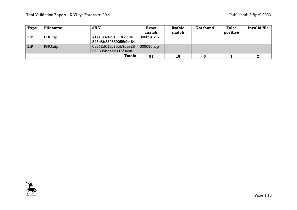| <b>Type</b> | <b>Filename</b> | <b>SHA1</b>          | <b>Exact</b> | <b>Usable</b> | Not found | <b>False</b> | <b>Invalid file</b> |
|-------------|-----------------|----------------------|--------------|---------------|-----------|--------------|---------------------|
|             |                 |                      | match        | match         |           | positive     |                     |
| ZIP         | PDF.zip         | alaa6a40d9161d0dc9fc | 000094.zip   |               |           |              |                     |
|             |                 | 546c8b239689055cb464 |              |               |           |              |                     |
| <b>ZIP</b>  | PNG.zip         | 0a342d01ac70cb9cae28 | 000095.zip   |               |           |              |                     |
|             |                 | 252805bceed415f949f9 |              |               |           |              |                     |
|             |                 | <b>Totals</b>        | 81           | 16            |           |              |                     |

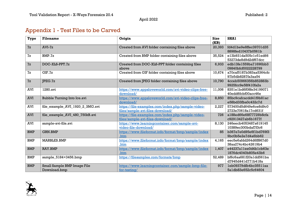## Appendix 1 - Test Files to be Carved

| Type       | <b>Filename</b>                 | Origin                                              | <b>Size</b><br>(KB) | <b>SHA1</b>             |
|------------|---------------------------------|-----------------------------------------------------|---------------------|-------------------------|
| 7z         | $AVI-Zz$                        | Created from AVI folder containing files above      | 20,393              | fd4dlbe9e8ffec39701d35  |
|            |                                 |                                                     |                     | 8898fed10437b0561b      |
| 7z         | BMP.7z                          | Created from BMP folder containing files above      | 35,524              | el3b931da505clc5led66   |
|            |                                 |                                                     |                     | 53273de8d9d2df67dcc     |
| 7z         | DOC-XLS-PPT.7z                  | Created from DOC-XLS-PPT folder containing files    | 6,933               | edb13fe1559ba71696bb3   |
|            |                                 | above                                               |                     | 09840bfcf0022228799     |
| 7z         | GIF.7z                          | Created from GIF folder containing files above      | 10,674              | a70caf5187b383aa5364cfc |
|            |                                 |                                                     |                     | 97b5db8287fa3aa54       |
| 7z         | IEG.7z                          | Created from JPEG folder containing files above     | 10,790              | 4cceb50966356b852883b   |
|            |                                 |                                                     |                     | 9925fcc9e58f410fa2a     |
| <b>AVI</b> | 1280.avi                        | https://www.appsloveworld.com/avi-video-clips-free- | 11,006              | 8351e1bd6f08fe34199071  |
|            |                                 | download/                                           |                     | 40edd6fcbf00acc46e      |
| <b>AVI</b> | Bubble Turning Into Ice.avi     | https://www.appsloveworld.com/avi-video-clips-free- | 8,850               | 85bc9cafcacdd41f9b81ac  |
|            |                                 | download/                                           |                     | e58bd33fba0c432c7d      |
| <b>AVI</b> | file_example_AVI_1920_2_3MG.avi | https://file-examples.com/index.php/sample-video-   | 2,227               | 573400d5d649e6ce8d9c0   |
|            |                                 | files/sample-avi-files-download/                    |                     | 2723e70618a17cd631f     |
| <b>AVI</b> | file_example_AVI_480_750kB.avi  | https://file-examples.com/index.php/sample-video-   | 726                 | a188ed66e68f77729b8cfa  |
|            |                                 | files/sample-avi-files-download/                    |                     | c92913427ab6b1677f      |
| <b>AVI</b> | sample-avi-file.avi             | https://www.learningcontainer.com/sample-avi-       | 8,130               | 246eecb4053487a619145   |
|            |                                 | video-file-download/                                |                     | 10389ec300bdaf7f3c6     |
| <b>BMP</b> | <b>GRN.BMP</b>                  | https://www.fileformat.info/format/bmp/sample/index | 85                  | b367e7e0d95e6f1bd769f3  |
|            |                                 | .htm                                                |                     | 9bc0b5e2e7d4a6bb62      |
| <b>BMP</b> | MARBLES.BMP                     | https://www.fileformat.info/format/bmp/sample/index | 4,165               | eec5e6afdd264d6ff867d0  |
|            |                                 | .htm                                                |                     | 38aa274c4bc42619b4      |
| <b>BMP</b> | RAY.BMP                         | https://www.fileformat.info/format/bmp/sample/index | 1,407               | e44237allee0d4blcb63e   |
|            |                                 | .htm                                                |                     | 1876dc4040b805e43b6     |
| <b>BMP</b> | sample_5184×3456.bmp            | https://filesamples.com/formats/bmp                 | 52,489              | bf6c6aa681f20aldd561ba  |
|            |                                 |                                                     |                     | d7945d441d771b418a      |
| <b>BMP</b> | Small Sample BMP Image File     | https://www.learningcontainer.com/sample-bmp-file-  | 977                 | leb09379dfb4bc3551laa   |
|            | Download.bmp                    | for-testing/                                        |                     | 5aldb83e652c5c64604     |

<span id="page-13-0"></span>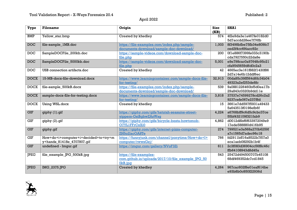| Type         | <b>Filename</b>                                                    | Origin                                                                                 | <b>Size</b><br>(KB) | SHA1                                         |
|--------------|--------------------------------------------------------------------|----------------------------------------------------------------------------------------|---------------------|----------------------------------------------|
| <b>BMP</b>   | Yellow_star.bmp                                                    | Created by khedley                                                                     | 574                 | 4f2e9da3e1a467fe0182d0<br>5d7accdd28ee7f76fb |
| <b>DOC</b>   | file-sample_1MB.doc                                                | https://file-examples.com/index.php/sample-<br>documents-download/sample-doc-download/ | 1,003               | 8f3498bfbe75fb34e809fc7<br>ced3f4cc6f4acc92c |
| <b>DOC</b>   | SampleDOCFile_200kb.doc                                            | https://sample-videos.com/download-sample-doc-<br>file.php                             | 200                 | 0fle886f7399fe033c3190b<br>cda7927550c22da8e |
| <b>DOC</b>   | SampleDOCFile_5000kb.doc                                           | https://sample-videos.com/download-sample-doc-<br>file.php                             | 5,001               | e9e798cac0a97648c95c21<br>cfa9545659d6d0c2a3 |
| <b>DOC</b>   | USB connection artifacts.doc                                       | Created by khedley                                                                     | 42                  | 4665ec3e161f882f1430f86<br>2d7al4e6bl2ddf6ec |
| <b>DOCX</b>  | 15-MB-docx-file-download.docx                                      | https://www.learningcontainer.com/sample-docx-file-<br>for-testing/                    | 32,913              | 00da85c39ff564d6fc34b04<br>49323a2ef253de8fc |
| <b>DOCX</b>  | file-sample_500kB.docx                                             | https://file-examples.com/index.php/sample-<br>documents-download/sample-doc-download/ | 539                 | 9a0881226460bf5d0ea17b<br>29a843c0320b9ddlle |
| <b>DOCX</b>  | sample-docx-file-for-testing.docx                                  | https://www.learningcontainer.com/sample-docx-file-<br>for-testing/                    | 3,818               | 37537e74599278cd26c2a2<br>9237cefe067e237f8d |
| <b>DOCX</b>  | Using WSL.docx                                                     | Created by khedley                                                                     | 15                  | 3661e7dd597f5931a49433<br>5a643513f0198efb6f |
| <b>GIF</b>   | giphy (1).gif                                                      | https://qiphy.com/qifs/hatutah-seasame-street-<br>yippers-GsiBqbwZAsWsq                | 4,224               | a6768bff9c6d5c9cbc37ce<br>55bf432109f321fab9 |
| <b>GIF</b>   | giphy (2).gif                                                      | https://qiphy.com/qifs/bicycle-besta-howtomob-<br>O7YL1FFrCxXi0                        | 4,862               | d0012d8bf6f633972049e9<br>17ede588880d416b95 |
| <b>GIF</b>   | giphy.gif                                                          | https://qiphy.com/qifs/internet-pizza-computer-<br>ZH5o2lacOA8Te                       | 274                 | 799521e3a568a270b6259f<br>a7c1565d7adec96c18 |
| $\mbox{GIF}$ | How+do+i+computer+i+decided+to+try+m<br>y+hands_81418e_4707807.gif | https://funnyjunk.com/channel/ponytime/How+do+I+<br>computer/rwwsGej/                  | 766                 | fd2911bff16a8522b7f07a0<br>ecalaeb08292blb4f |
| <b>GIF</b>   | undefined - Imgur.gif                                              | https://imqur.com/gallery/NVoF3Zi                                                      | 611                 | 2c3f083d36904cc56f8c46c<br>ffb64108943d8d45a |
| <b>JPEG</b>  | file_example_JPG_500kB.jpg                                         | https://file-examples-<br>com.qithub.io/uploads/2017/10/file example JPG 50<br>0kB.jpq | 543                 | 25472d494500707b45108<br>68df469352dc7cd1845 |
| <b>JPEG</b>  | IMG_2375.JPG                                                       | Created by khedley                                                                     | 4,264               | 967cac602f8e0leaf614be<br>e93b8b0c850f22936d |

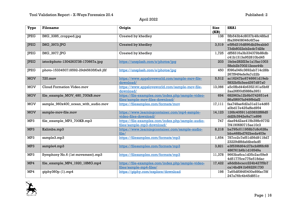| Type        | <b>Filename</b>                       | Origin                                                                                | <b>Size</b><br>(KB) | SHA1                                         |
|-------------|---------------------------------------|---------------------------------------------------------------------------------------|---------------------|----------------------------------------------|
| <b>JPEG</b> | IMG_3385_cropped.jpg                  | Created by khedley                                                                    | 138                 | 5fb543b4c8037b48c48fad<br>f8a39f408046c6f7ee |
| <b>JPEG</b> | IMG_3973.JPG                          | Created by khedley                                                                    | 3,519               | e5f6d316d896db29eabb0<br>73db8022eb2edc7d2fe |
| <b>JPEG</b> | <b>IMG 3977.JPG</b>                   | Created by khedley                                                                    | 1,725               | df58316a3b334379b88db<br>c41b1313a952810bd45 |
| <b>JPEG</b> | istockphoto-1304263738-170667a.jpg    | https://unsplash.com/s/photos/jpq                                                     | 203                 | lfebe282f23elal5ac1003<br>58eb2b700212eee44b |
| <b>JPEG</b> | photo-1533450718592-29d45635f0a9.jfif | https://unsplash.com/s/photos/jpq                                                     | 450                 | f096a046c3692ab714c28b<br>267f94f4efe9a7c22b |
| <b>MOV</b>  | 720.mov                               | https://www.appsloveworld.com/sample-mov-file-<br>download/                           | 5,512               | ac16247bc6746661d19eb<br>5832b5b3eed397d97a0 |
| <b>MOV</b>  | Cloud Formation Video.mov             | https://www.appsloveworld.com/sample-mov-file-<br>download/                           | 13,066              | a5c0fbd44b6352161e5b6f<br>2aa26f00d5888a3951 |
| <b>MOV</b>  | file_example_MOV_480_700kB.mov        | https://file-examples.com/index.php/sample-video-<br>files/sample-mov-files-download/ | 694                 | 682963a12b9b0742651e4<br>86a5f697fa949f9daf2 |
| <b>MOV</b>  | sample_960x400_ocean_with_audio.mov   | https://filesamples.com/formats/mov                                                   | 17,111              | faa748ae6d2a31e21e4d65<br>a0bd17e425affed954 |
| <b>MOV</b>  | sample-mov-file.mov                   | https://www.learningcontainer.com/mp4-sample-<br>video-files-download/                | 14,123              | 126fc405911d33832f88d5<br>dd2fc3942e9a71e896 |
| MP3         | file example MP3 700KB.mp3            | https://file-examples.com/index.php/sample-audio-<br>files/sample-mp3-download/       | 747                 | dae94d2ae419b398c977f2<br>7f4190680715ae10c3 |
| MP3         | Kalimba.mp3                           | https://www.learningcontainer.com/sample-audio-<br>file/                              | 8,218               | ba795c011958b7c8c628a<br>bba468bd762beda403e |
| MP3         | sample3.mp3                           | https://filesamples.com/formats/mp3                                                   | 1,654               | 787cc2c7ef51d56d9118d7<br>23229d8fdafdbefad5 |
| MP3         | sample4.mp3                           | https://filesamples.com/formats/mp3                                                   | 3,821               | e3f539fd64c27bcb8f6fc68<br>486761b6b1d16549a |
| MP3         | Symphony No.6 (1st movement).mp3      | https://filesamples.com/formats/mp3                                                   | 11,378              | 9663ba6ca1d35c2ac59e9<br>4d51775ce775e518dac |
| MP4         | file_example_MP4_1920_18MG.mp4        | https://file-examples.com/index.php/sample-video-<br>files/sample-mp4-files/          | 17,422              | a8ddbbcacc224b427f5b7<br>cal4bdf41b692291730 |
| MP4         | giphy360p (1).mp4                     | https://giphy.com/explore/download                                                    | 198                 | 7a65df084f0400e89fac78f<br>247a76fc4b45d851c |

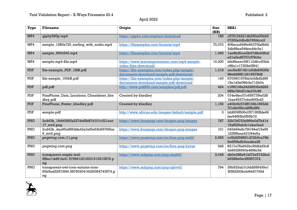| <b>Type</b> | <b>Filename</b>                                                                    | Origin                                                                                 | <b>Size</b><br>(KB) | SHA1                                         |
|-------------|------------------------------------------------------------------------------------|----------------------------------------------------------------------------------------|---------------------|----------------------------------------------|
| MP4         | giphy360p.mp4                                                                      | https://giphy.com/explore/download                                                     | 185                 | c578124221db590a00bb5<br>07202e2dbdb765dccc2 |
| MP4         | sample_1280x720_surfing_with_audio.mp4                                             | https://filesamples.com/formats/mp4                                                    | 70,072              | 406ecad499e84370fa8bfd<br>3db88aa548eeddc3el |
| MP4         | sample_960x540.mp4                                                                 | https://filesamples.com/formats/mp4                                                    | 1,290               | lae8b2fcce5b37d8a0d6af<br>e21a0ed9757cf78cbc |
| MP4         | sample-mp4-file.mp4                                                                | https://www.learningcontainer.com/mp4-sample-<br>video-files-download/                 | 10,300              | bfe8feaec39f112dfcc53bb<br>c98alc17309e0f941 |
| <b>PDF</b>  | file-example_PDF_1MB.pdf                                                           | https://file-examples.com/index.php/sample-<br>documents-download/sample-pdf-download/ | 1,018               | cec8ad914ble9db83626b<br>98e8d98512616975fdf |
| PDF         | file-sample_150kB.pdf                                                              | https://file-examples.com/index.php/sample-<br>documents-download/sample-pdf-download/ | 140                 | 6703901978dcb3dbf2d99<br>15e1d3e066cfe712b0a |
| <b>PDF</b>  | pdf.pdf                                                                            | http://www.pdf995.com/samples/pdf.pdf                                                  | 424                 | c1f95108a34228535a9262<br>085e784d7c3e27fc68 |
| <b>PDF</b>  | PinePhone_Data_Locations_Cheatsheet_khe<br>dley.pdf                                | Created by khedley                                                                     | 204                 | 074e4fec07c65977f9e028<br>lbae45377ebe800bd3 |
| <b>PDF</b>  | PinePhone_Poster_khedley.pdf                                                       | Created by khedley                                                                     | 1,152               | a403c9c57dff103b1893d2<br>7f1efe05bcaf9fbd9b |
| <b>PDF</b>  | sample.pdf                                                                         | http://www.africau.edu/images/default/sample.pdf                                       | 3 <sup>1</sup>      | bfd009f500c057195ffde66<br>fae64f92fa5f59b72 |
| PNG         | 2cd43b_16d40260a2274e6fb87d101c321eac<br>17_mv2.png                                | https://www.freepngs.com/dragon-png-images                                             | 787                 | 32b7bf753e866e0d7b414<br>19af529ab3clebe3aa3 |
| PNG         | 2cd43b_daa95a985dde42a3af5a63b597f45ac<br>9_mv2.png                                | https://www.freepngs.com/dragon-png-images                                             | 101                 | 045d49e8c7f4184ef19a69<br>122f58aaa431f44e6a |
| PNG         | pngwing.com (1).png                                                                | https://www.pngwing.com/en/free-png-zwfuf                                              | 2,955               | cc5bf259f661d72b5ca78b<br>9e6f58efb3eeafee28 |
| PNG         | pngwing.com.png                                                                    | https://www.pngwing.com/en/free-png-byvsx                                              | 548                 | 8317e78a842bc9fdbbf3c8<br>3e66326693a489fe3d |
| PNG         | transparent-maple-leaf-<br>5f8ec1dd91fa41.5756612016031912615979.p<br>nq           | https://www.subpng.com/png-daqbfi/                                                     | 3,048               | db0e388e61bf72e5742fed<br>b5389e6ecf90f07372 |
| PNG         | transparent-owl-icon-autumn-icon-<br>60b5ed32573f44.5876030416225354743574.p<br>ng | https://www.subpng.com/png-iqhvv2/                                                     | 794                 | 29b523ab7c3dd585430el<br>3f383293bcb84d7749d |

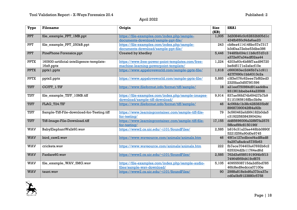| Type        | <b>Filename</b>                                          | Origin                                                                                    | <b>Size</b><br>(KB) | <b>SHA1</b>                                  |
|-------------|----------------------------------------------------------|-------------------------------------------------------------------------------------------|---------------------|----------------------------------------------|
| <b>PPT</b>  | file_example_PPT_1MB.ppt                                 | https://file-examples.com/index.php/sample-<br>documents-download/sample-ppt-file/        | 1,005               | 3d30846c0c62832fd05dlc<br>424fb650cf4da6ae23 |
| <b>PPT</b>  | file_example_PPT_250kB.ppt                               | https://file-examples.com/index.php/sample-<br>documents-download/sample-ppt-file/        | 243                 | cb8ea4114148bc57e7317<br>b3d0aa72ebe53dbe386 |
| <b>PPT</b>  | PinePhone Forensics.ppt                                  | Created by khedley                                                                        | 5,446               | 74485b034cllb8c57d7c3<br>a372e97a34adf02aa44 |
| <b>PPTX</b> | 160930-artificial-intelligence-template-<br>$16x9.$ pptx | https://www.free-power-point-templates.com/free-<br>machine-learning-powerpoint-template/ | 1,224               | 4203a60c4b88f7aad96720<br>be8d5171e2afacf10e |
| <b>PPTX</b> | pptxl.pptx                                               | https://www.appsloveworld.com/sample-pptx-file/                                           | 1,618               | c666363ec2d45b7alc911<br>427f7690c1bb6313c2a |
| <b>PPTX</b> | pptx2.pptx                                               | https://www.appsloveworld.com/sample-pptx-file/                                           | 5,885               | c3f3e076c62eee7bf82ed3<br>2325faa0d5f79f1596 |
| <b>TIFF</b> | CCITT_1.TIF                                              | https://www.fileformat.info/format/tiff/sample/                                           | 18                  | a2leef750984d9laaddba<br>931361bbebe44a23568 |
| <b>TIFF</b> | file_example_TIFF_10MB.tiff                              | https://file-examples.com/index.php/sample-images-<br>download/sample-tiff-download/      | 9,914               | 837ae56fd74b69427b7b9<br>511f1065616ffbc3b9e |
| <b>TIFF</b> | FLAG_T24.TIF                                             | https://www.fileformat.info/format/tiff/sample/                                           | 46                  | 4c06fdc1b38c4283835b8f<br>89687390042f84a92b |
| <b>TIFF</b> | Sample-Tiff-File-download-for-Testing.tiff               | https://www.learningcontainer.com/sample-tiff-file-<br>for-testing/                       | 79                  | 3c560462efd9f4182b0da5<br>c3192258384390424c |
| <b>TIFF</b> | Tiff-Image-File-Download.tiff                            | https://www.learningcontainer.com/sample-tiff-file-<br>for-testing/                       | 17,155              | dd85696006a32f8f7fa2575<br>5f8cef99c8150196f |
| <b>WAV</b>  | BabyElephantWalk60.wav                                   | https://www2.cs.uic.edu/~i101/SoundFiles/                                                 | 2,585               | b816c31a23ae448bb0890f<br>5221f256a90d0e9745 |
| <b>WAV</b>  | bird_caw2.wav                                            | https://www.wavsource.com/animals/animals.htm                                             | 46                  | 49f1e127edbcef4adf8ad8<br>9a297a8adca5735b63 |
| <b>WAV</b>  | crickets.wav                                             | https://www.wavsource.com/animals/animals.htm                                             | 222                 | fb7ece704403a47692b6c2<br>625324d2b11764ed6d |
| <b>WAV</b>  | Fanfare60.wav                                            | https://www2.cs.uic.edu/~i101/SoundFiles/                                                 | 2,585               | 762d3a658519190f4b5f13<br>74964f959d419cf875 |
| <b>WAV</b>  | file_example_WAV_5MG.wav                                 | https://file-examples.com/index.php/sample-audio-<br>files/sample-wav-download/           | 5,105               | 40955508715da2d5bd785<br>46fc8ed9edcca07100e |
| <b>WAV</b>  | taunt.way                                                | https://www2.cs.uic.edu/~i101/SoundFiles/                                                 | 90                  | 2988a818ebd6a373ca37e<br>cd0a0bf9123880c5758 |

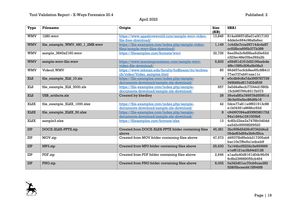| Type        | <b>Filename</b>                | Origin                                                                                 | <b>Size</b><br>(KB) | <b>SHA1</b>                                  |
|-------------|--------------------------------|----------------------------------------------------------------------------------------|---------------------|----------------------------------------------|
| <b>WMV</b>  | 1280.wmv                       | https://www.appsloveworld.com/sample-wmv-video-<br>file-free-download/                 | 13,846              | 814a49657d5e01a0f17163<br>4ddebc664c98a8a6ec |
| <b>WMV</b>  | file_example_WMV_480_1_2MB.wmv | https://file-examples.com/index.php/sample-video-<br>files/sample-wmv-files-download/  | 1,149               | lc4d2e7cce26714dcda87<br>cc52fbca695b377b389 |
| <b>WMV</b>  | sample_3840x2160.wmv           | https://filesamples.com/formats/wmv                                                    | 32,726              | 6ee26e2c8d98aa6d3e62d<br>c323ec48e03ba392a2b |
| <b>WMV</b>  | sample-wmv-file.wmv            | https://www.learningcontainer.com/sample-wmv-<br>video-file-download/                  | 5,833               | a59d51d161b52196aebde<br>4f9c1585c206a9b08a3 |
| <b>WMV</b>  | Video2.WMV                     | https://www.lehman.edu/faculty/hoffmann/itc/techtea<br>ch/video/Video samples.html     | 85                  | 66d457ecfcb8ee65c9f841f<br>77ae737ab9laaallc |
| <b>XLS</b>  | file_example_XLS_10.xls        | https://file-examples.com/index.php/sample-<br>documents-download/sample-xls-download/ | 9                   | e0cdb9c8a7da39f9787729<br>345fd9bd617d02d539 |
| <b>XLS</b>  | file_example_XLS_5000.xls      | https://file-examples.com/index.php/sample-<br>documents-download/sample-xls-download/ | 657                 | 3a0d4a8ecb77244d1580b<br>15cb9f0766c8317b073 |
| <b>XLS</b>  | USB_artifacts.xls              | Created by khedley                                                                     | 28                  | 39a4a8f0a789578d55951d<br>3fc3e00a5ec86d6b16 |
| <b>XLSX</b> | file_example_XLSX_1000.xlsx    | https://file-examples.com/index.php/sample-<br>documents-download/sample-xls-download/ | 42                  | 0dce77a811e9f631913c88<br>elb04391a868fcc93d |
| <b>XLSX</b> | file_example_XLSX_50.xlsx      | https://file-examples.com/index.php/sample-<br>documents-download/sample-xls-download/ | 8                   | c94997094ad00f9f38017fd<br>94a1d44a1241003b6 |
| <b>XLSX</b> | sample3.xlsx                   | https://filesamples.com/formats/xlsx                                                   | 13                  | 4c82c22ee2a7478fc0d0dd<br>ea5d3c9565ff269520 |
| <b>ZIP</b>  | DOCX-XLSX-PPTX.zip             | Created from DOCX-XLSX-PPTX folder containing files<br>above                           | 45,381              | 3bc958d3d36c67342d4a2<br>09def63d69a3b9c55ca |
| ZIP         | MOV.zip                        | Created from MOV folder containing files above                                         | 47,973              | d45075b85ebb217305ab6<br>bac10e7f6e9a1edceb9 |
| ZIP         | MP3.zip                        | Created from MP3 folder containing files above                                         | 25,633              | 7a144bc05232c3e693669<br>elef6121ac3b94d3128 |
| ZIP         | PDF.zip                        | Created from PDF folder containing files above                                         | 2,646               | alaa6a40d9161d0dc9fc54<br>6c8b239689055cb464 |
| ZIP         | PNG.zip                        | Created from PNG folder containing files above                                         | 8,002               | 0a342d01ac70cb9cae282<br>52805bceed415f949f9 |